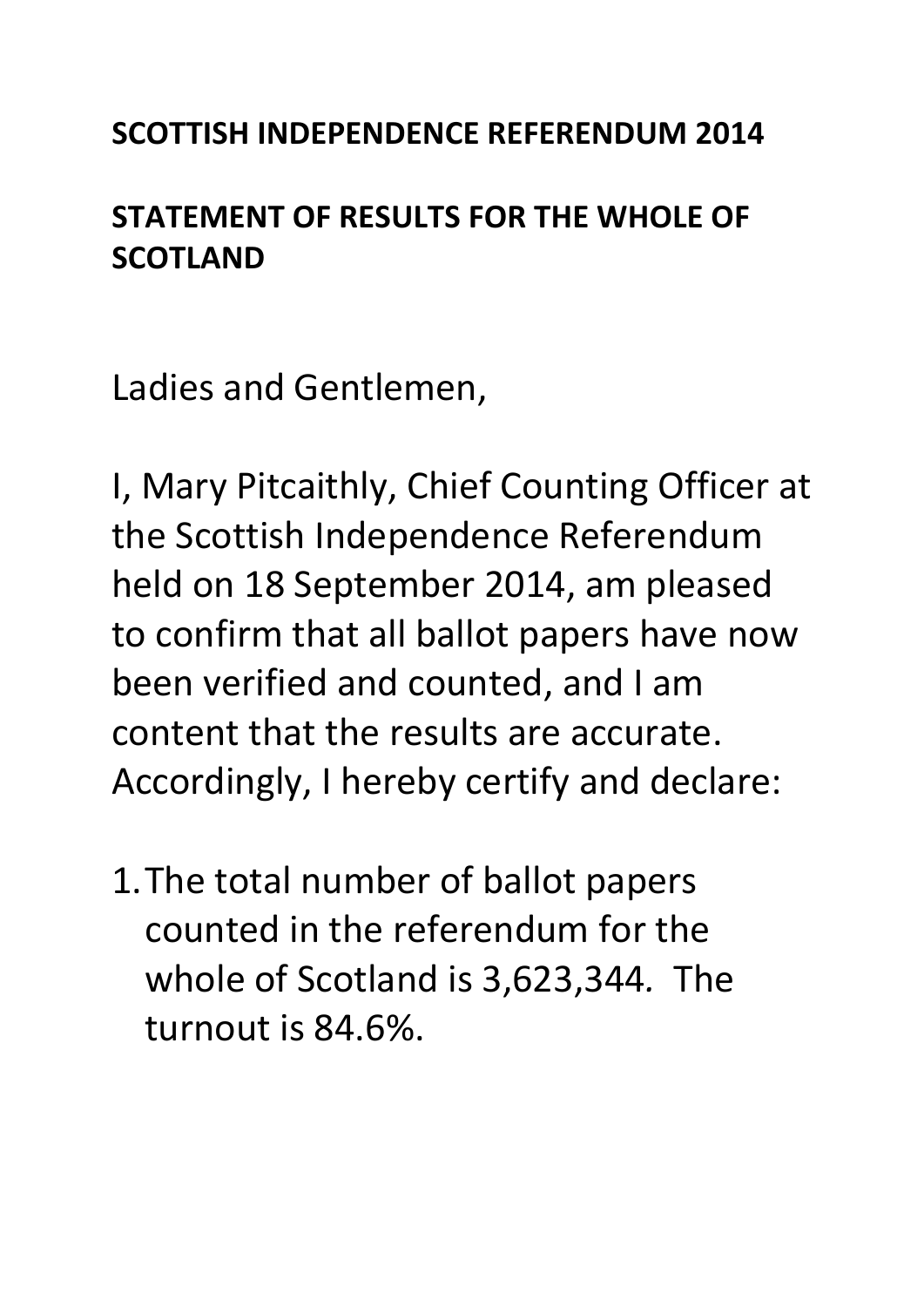## **SCOTTISH INDEPENDENCE REFERENDUM 2014**

## **STATEMENT OF RESULTS FOR THE WHOLE OF SCOTLAND**

Ladies and Gentlemen,

I, Mary Pitcaithly, Chief Counting Officer at the Scottish Independence Referendum held on 18 September 2014, am pleased to confirm that all ballot papers have now been verified and counted, and I am content that the results are accurate. Accordingly, I hereby certify and declare:

1.The total number of ballot papers counted in the referendum for the whole of Scotland is 3,623,344*.* The turnout is 84.6%.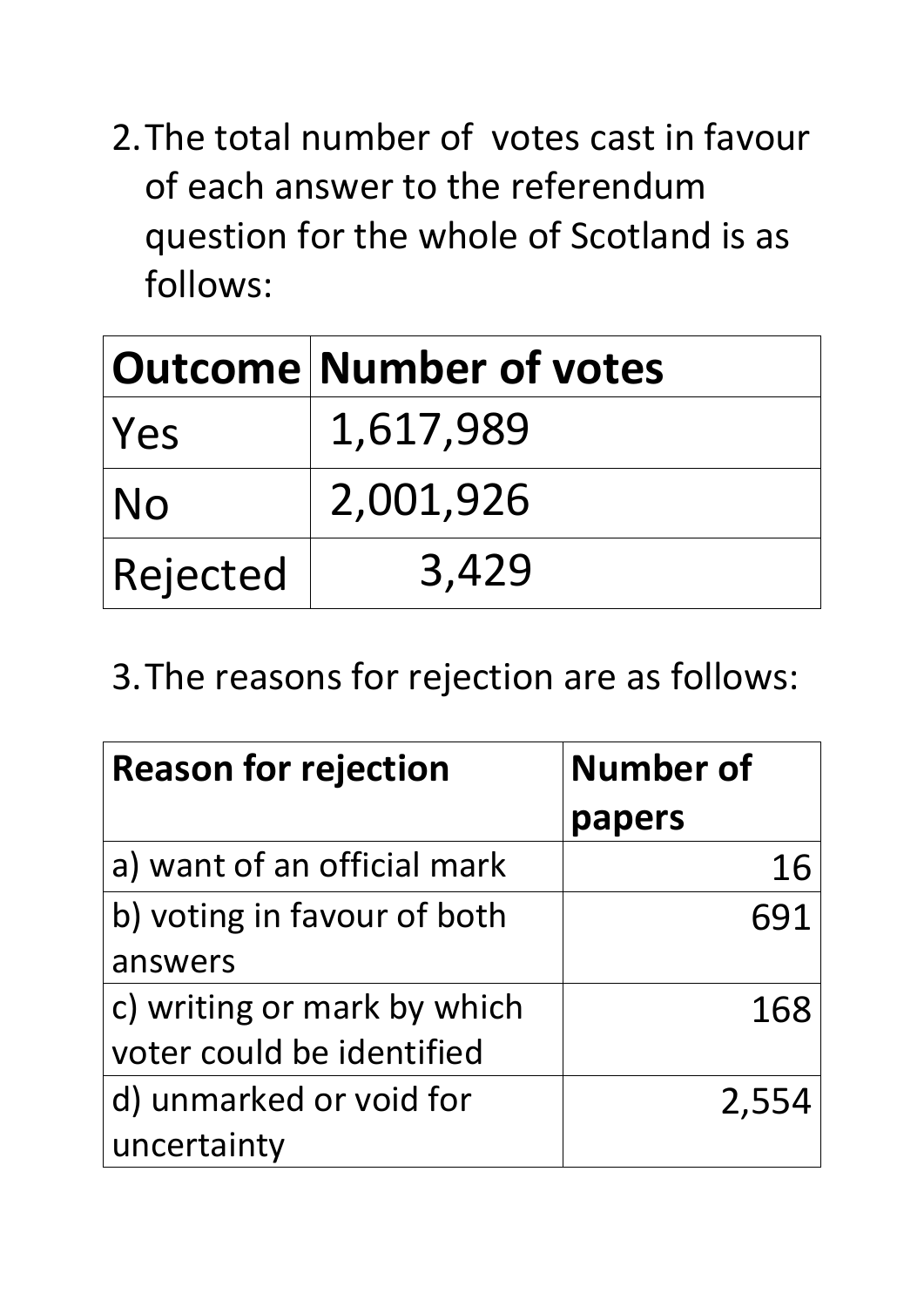2.The total number of votes cast in favour of each answer to the referendum question for the whole of Scotland is as follows:

|            | Outcome Number of votes |
|------------|-------------------------|
| <b>Yes</b> | 1,617,989               |
| <b>No</b>  | 2,001,926               |
| Rejected   | 3,429                   |

3.The reasons for rejection are as follows:

| <b>Reason for rejection</b> | <b>Number of</b> |
|-----------------------------|------------------|
|                             | papers           |
| a) want of an official mark | 16               |
| b) voting in favour of both | 691              |
| answers                     |                  |
| c) writing or mark by which | 168              |
| voter could be identified   |                  |
| d) unmarked or void for     | 2,554            |
| uncertainty                 |                  |